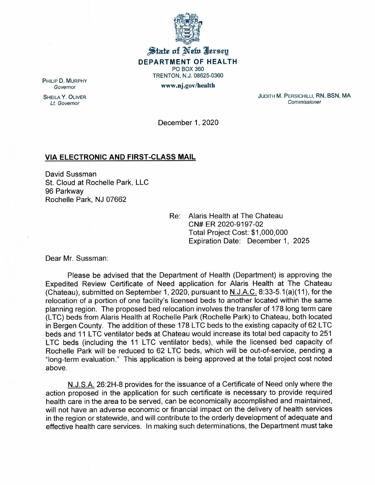

## $\frac{1}{2}$  tate of Net Jersey **DEPARTMENT OF HEALTH** PO BOX 360 TRENTON, N.J. 08625-0360 www.nj.gov/health

PHILIP D. MURPHY *Governor*

SHEILA Y. OLIVER *Lt. Governor*

JUDITH M. PERSICHILLI, RN, BSN, MA *Commissioner*

December 1, 2020

## **VIA ELECTRONIC AND FIRST-CLASS MAIL**

David Sussman st. Cloud at Rochelle Park, LLC 96 Parkway Rochelle Park, NJ 07662

> Re: Alaris Health at The Chateau CN# ER 2020-9197-02 Total Project Cost: \$1,000,000 Expiration Date: December 1, 2025

Dear Mr. Sussman:

Please be advised that the Department of Health (Department) is approving the Expedited Review Certificate of Need application for Alaris Health at The Chateau (Chateau), submitted on September 1, 2020, pursuant to N.J.A.C. 8:33-5.1(a)(11), for the relocation of a portion of one facility's licensed beds to another located within the same planning region. The proposed bed relocation involves the transfer of 178 long term care (LTC) beds from Alaris Health at Rochelle Park (Rochelle Park) to Chateau, both located in Bergen County. The addition of these 178 LTC beds to the existing capacity of 62 LTC beds and 11 LTC ventilator beds at Chateau would increase its total bed capacity to 251 LTC beds (including the 11 LTC ventilator beds), while the licensed bed capacity of Rochelle Park will be reduced to 62 LTC beds, which will be out-of-service, pending a "long-term evaluation." This application is being approved at the total project cost noted above.

N.J.S.A. 26:2H-8 provides for the issuance of a Certificate of Need only where the action proposed in the application for such certificate is necessary to provide required health care in the area to be served, can be economically accomplished and maintained, will not have an adverse economic or financial impact on the delivery of health services in the region or statewide, and will contribute to the orderly development of adequate and effective health care services. In making such determinations, the Department must take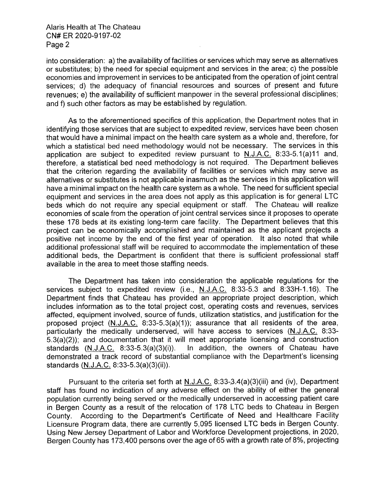Alaris Health at The Chateau CN# ER 2020-9197-02 Page 2

into consideration: a) the availability of facilities or services which may serve as alternatives or substitutes; b) the need for special equipment and services in the area; c) the possible economies and improvement in services to be anticipated from the operation of joint central services; d) the adequacy of financial resources and sources of present and future revenues; e) the availability of sufficient manpower in the several professional disciplines; and f) such other factors as may be established by regulation.

As to the aforementioned specifics of this application, the Department notes that in identifying those services that are subject to expedited review, services have been chosen that would have a minimal impact on the health care system as a whole and, therefore, for which a statistical bed need methodology would not be necessary. The services in this application are subject to expedited review pursuant to  $N.J.A.C.$  8:33-5.1(a)11 and, therefore, a statistical bed need methodology is not required. The Department believes that the criterion regarding the availability of facilities or services which may serve as alternatives or substitutes is not applicable inasmuch as the services in this application will have a minimal impact on the health care system as a whole. The need for sufficient special equipment and services in the area does not apply as this application is for general LTC beds which do not require any special equipment or staff. The Chateau will realize economies of scale from the operation of joint central services since it proposes to operate these 178 beds at its existing long-term care facility. The Department believes that this project can be economically accomplished and maintained as the applicant projects a positive net income by the end of the first year of operation. It also noted that while additional professional staff will be required to accommodate the implementation of these additional beds, the Department is confident that there is sufficient professional staff available in the area to meet those staffing needs.

The Department has taken into consideration the applicable regulations for the services subject to expedited review (i.e., N.J.A.C. 8:33-5.3 and 8:33H-1.16). The Department finds that Chateau has provided an appropriate project description, which includes information as to the total project cost, operating costs and revenues, services affected, equipment involved, source of funds, utilization statistics, and justification for the proposed project (N.J.A.C. 8:33-5.3(a)(1 )); assurance that all residents of the area, particularly the medically underserved, will have access to services (N.J.A.C. 8:33- 5.3(a)(2)); and documentation that it will meet appropriate licensing and construction standards (N.J.A.C. 8:33-5.3(a)(3)(i)). In addition, the owners of Chateau have demonstrated a track record of substantial compliance with the Department's licensing standards (N.J.A.C. 8:33-5.3(a)(3)(ii)).

Pursuant to the criteria set forth at N.J.A.C. 8:33-3.4(a)(3)(iii) and (iv), Department staff has found no indication of any adverse effect on the ability of either the general population currently being served or the medically underserved in accessing patient care in Bergen County as a result of the relocation of 178 LTC beds to Chateau in Bergen County. According to the Department's Certificate of Need and Healthcare Facility Licensure Program data, there are currently 5,095 licensed LTC beds in Bergen County. Using New Jersey Department of Labor and Workforce Development projections, in 2020, Bergen County has 173,400 persons over the age of 65 with a growth rate of 8%, projecting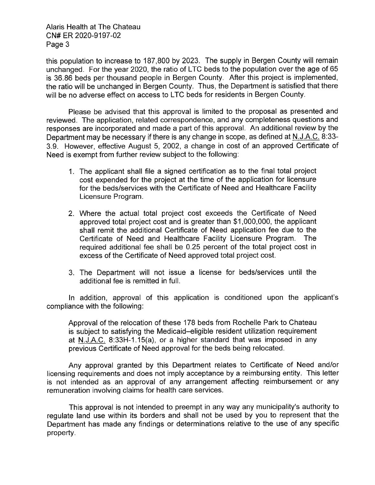Alaris Health at The Chateau CN# ER 2020-9197-02 Page 3

this population to increase to 187,800 by 2023. The supply in Bergen County will remain unchanged. For the year 2020, the ratio of LTC beds to the population over the age of 65 is 36.86 beds per thousand people in Bergen County. After this project is implemented, the ratio will be unchanged in Bergen County. Thus, the Department is satisfied that there will be no adverse effect on access to LTC beds for residents in Bergen County.

Please be advised that this approval is limited to the proposal as presented and reviewed. The application, related correspondence, and any completeness questions and responses are incorporated and made a part of this approval. An additional review by the Department may be necessary if there is any change in scope, as defined at N.J.A.C. 8:33- 3.9. However, effective August 5, 2002, a change in cost of an approved Certificate of Need is exempt from further review subject to the following:

- 1. The applicant shall file a signed certification as to the final total project cost expended for the project at the time of the application for licensure for the beds/services with the Certificate of Need and Healthcare Facility Licensure Program.
- 2. Where the actual total project cost exceeds the Certificate of Need approved total project cost and is greater than \$1,000,000, the applicant shall remit the additional Certificate of Need application fee due to the Certificate of Need and Healthcare Facility Licensure Program. The required additional fee shall be 0.25 percent of the total project cost in excess of the Certificate of Need approved total project cost.
- 3. The Department will not issue a license for beds/services until the additional fee is remitted in full.

In addition, approval of this application is conditioned upon the applicant's compliance with the following:

Approval of the relocation of these 178 beds from Rochelle Park to Chateau is subject to satisfying the Medicaid-eligible resident utilization requirement at  $N.J.A.C.$  8:33H-1.15(a), or a higher standard that was imposed in any previous Certificate of Need approval for the beds being relocated.

Any approval granted by this Department relates to Certificate of Need and/or licensing requirements and does not imply acceptance by a reimbursing entity. This letter is not intended as an approval of any arrangement affecting reimbursement or any remuneration involving claims for health care services.

This approval is not intended to preempt in any way any municipality's authority to regulate land use within its borders and shall not be used by you to represent that the Department has made any findings or determinations relative to the use of any specific property.